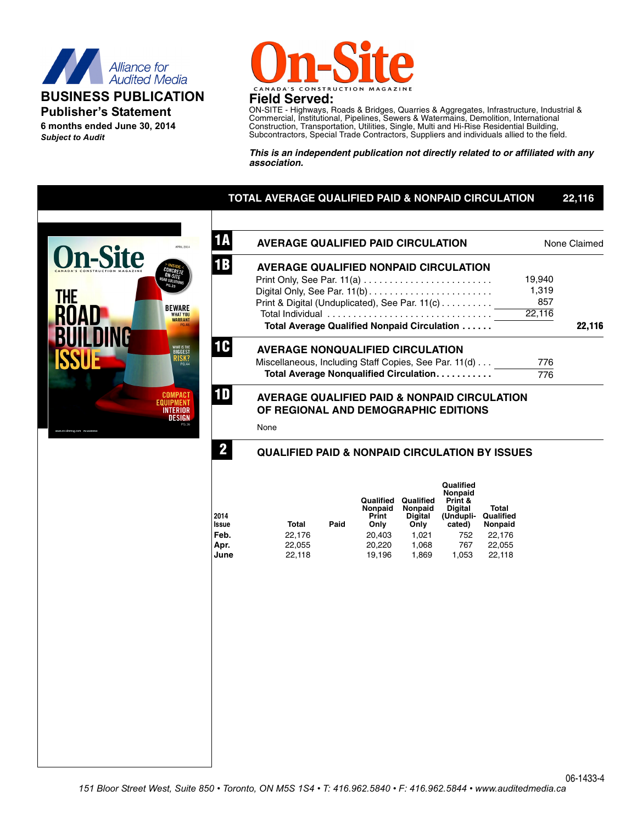

## **BUSINESS PUBLICATION Publisher's Statement**

**6 months ended June 30, 2014** *Subject to Audit*



ON-SITE - Highways, Roads & Bridges, Quarries & Aggregates, Infrastructure, Industrial & Commercial, Institutional, Pipelines, Sewers & Watermains, Demolition, International Construction, Transportation, Utilities, Single, Multi and Hi-Rise Residential Building, Subcontractors, Special Trade Contractors, Suppliers and individuals allied to the field.

*This is an independent publication not directly related to or affiliated with any association.*

# **TOTAL AVERAGE QUALIFIED PAID & NONPAID CIRCULATION 22,116**



| <b>AVERAGE QUALIFIED PAID CIRCULATION</b>                                                       |        | None Claimed |
|-------------------------------------------------------------------------------------------------|--------|--------------|
| <b>AVERAGE QUALIFIED NONPAID CIRCULATION</b>                                                    |        |              |
|                                                                                                 | 19,940 |              |
| Digital Only, See Par. 11(b)                                                                    | 1,319  |              |
| Print & Digital (Unduplicated), See Par. 11(c)                                                  | 857    |              |
| Total Individual                                                                                | 22,116 |              |
| Total Average Qualified Nonpaid Circulation                                                     |        | 22,116       |
| <b>AVERAGE NONQUALIFIED CIRCULATION</b>                                                         |        |              |
| Miscellaneous, Including Staff Copies, See Par. 11(d)                                           | 776    |              |
| Total Average Nonqualified Circulation                                                          | 776    |              |
| <b>AVERAGE QUALIFIED PAID &amp; NONPAID CIRCULATION</b><br>OF REGIONAL AND DEMOGRAPHIC EDITIONS |        |              |

None

#### **QUALIFIED PAID & NONPAID CIRCULATION BY ISSUES**

| 2014<br><b>Issue</b> | <b>Total</b> | Paid | Qualified<br>Nonpaid<br>Print<br>Only | Qualified<br>Nonpaid<br><b>Digital</b><br>Only | Qualified<br>Nonpaid<br>Print &<br><b>Digital</b><br>(Undupli-<br>cated) | Total<br>Qualified<br>Nonpaid |
|----------------------|--------------|------|---------------------------------------|------------------------------------------------|--------------------------------------------------------------------------|-------------------------------|
| Feb.                 | 22,176       |      | 20,403                                | 1.021                                          | 752                                                                      | 22.176                        |
| Apr.                 | 22,055       |      | 20,220                                | 1,068                                          | 767                                                                      | 22.055                        |
| June                 | 22,118       |      | 19,196                                | 1,869                                          | 1,053                                                                    | 22,118                        |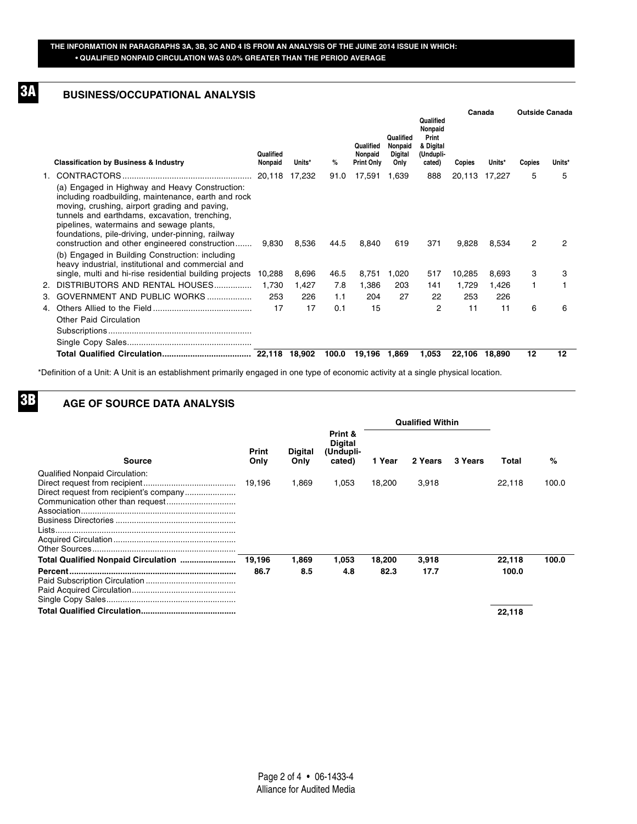#### **BUSINESS/OCCUPATIONAL ANALYSIS 3A**

|                                                                                                                                                                                                                                                                                                                                                                                                                                                                     |                      |        |       |                                           |                                                |                                                                   | Canada        |        | <b>Outside Canada</b> |        |
|---------------------------------------------------------------------------------------------------------------------------------------------------------------------------------------------------------------------------------------------------------------------------------------------------------------------------------------------------------------------------------------------------------------------------------------------------------------------|----------------------|--------|-------|-------------------------------------------|------------------------------------------------|-------------------------------------------------------------------|---------------|--------|-----------------------|--------|
| <b>Classification by Business &amp; Industry</b>                                                                                                                                                                                                                                                                                                                                                                                                                    | Qualified<br>Nonpaid | Units* | %     | Qualified<br>Nonpaid<br><b>Print Only</b> | Qualified<br>Nonpaid<br><b>Digital</b><br>Only | Qualified<br>Nonpaid<br>Print<br>& Digital<br>(Undupli-<br>cated) | <b>Copies</b> | Units* | Copies                | Units* |
|                                                                                                                                                                                                                                                                                                                                                                                                                                                                     |                      | 17,232 | 91.0  | 17,591                                    | 1,639                                          | 888                                                               | 20,113        | 17,227 | 5                     | 5      |
| (a) Engaged in Highway and Heavy Construction:<br>including roadbuilding, maintenance, earth and rock<br>moving, crushing, airport grading and paving,<br>tunnels and earthdams, excavation, trenching,<br>pipelines, watermains and sewage plants,<br>foundations, pile-driving, under-pinning, railway<br>construction and other engineered construction<br>(b) Engaged in Building Construction: including<br>heavy industrial, institutional and commercial and | 9,830                | 8,536  | 44.5  | 8,840                                     | 619                                            | 371                                                               | 9,828         | 8,534  | 2                     | 2      |
| single, multi and hi-rise residential building projects                                                                                                                                                                                                                                                                                                                                                                                                             | 10.288               | 8.696  | 46.5  | 8,751                                     | 1.020                                          | 517                                                               | 10,285        | 8,693  | 3                     | 3      |
| 2. DISTRIBUTORS AND RENTAL HOUSES                                                                                                                                                                                                                                                                                                                                                                                                                                   | 1.730                | 1,427  | 7.8   | 1,386                                     | 203                                            | 141                                                               | 1,729         | 1,426  | 1                     |        |
| 3. GOVERNMENT AND PUBLIC WORKS                                                                                                                                                                                                                                                                                                                                                                                                                                      | 253                  | 226    | 1.1   | 204                                       | 27                                             | 22                                                                | 253           | 226    |                       |        |
|                                                                                                                                                                                                                                                                                                                                                                                                                                                                     | 17                   | 17     | 0.1   | 15                                        |                                                | 2                                                                 | 11            | 11     | 6                     | 6      |
| <b>Other Paid Circulation</b>                                                                                                                                                                                                                                                                                                                                                                                                                                       |                      |        |       |                                           |                                                |                                                                   |               |        |                       |        |
|                                                                                                                                                                                                                                                                                                                                                                                                                                                                     |                      | 18.902 | 100.0 | 19.196                                    | 1,869                                          | 1,053                                                             | 22.106        | 18.890 | 12                    | 12     |

\*Definition of a Unit: A Unit is an establishment primarily engaged in one type of economic activity at a single physical location.

## **3B**

#### **AGE OF SOURCE DATA ANALYSIS**

|                                                 |               |                        |                                                  | <b>Qualified Within</b> |         |                |        |       |
|-------------------------------------------------|---------------|------------------------|--------------------------------------------------|-------------------------|---------|----------------|--------|-------|
| Source                                          | Print<br>Only | <b>Digital</b><br>Only | Print &<br><b>Digital</b><br>(Undupli-<br>cated) | 1 Year                  | 2 Years | <b>3 Years</b> | Total  | $\%$  |
| <b>Qualified Nonpaid Circulation:</b><br>Lists. | 19.196        | 1.869                  | 1.053                                            | 18.200                  | 3,918   |                | 22,118 | 100.0 |
| Total Qualified Nonpaid Circulation             | 19,196        | 1,869                  | 1,053                                            | 18,200                  | 3,918   |                | 22,118 | 100.0 |
|                                                 | 86.7          | 8.5                    | 4.8                                              | 82.3                    | 17.7    |                | 100.0  |       |
|                                                 |               |                        |                                                  |                         |         |                | 22,118 |       |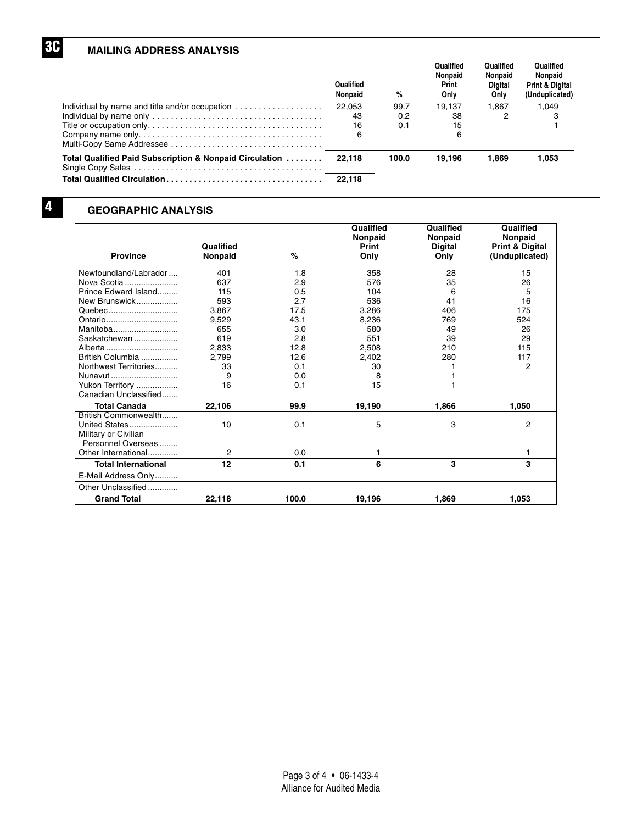## **MAILING ADDRESS ANALYSIS**

**3C**

**4**

|                                                                                     | Qualified<br>Nonpaid | %     | Qualified<br>Nonpaid<br><b>Print</b><br>Onlv | Qualified<br>Nonpaid<br><b>Digital</b><br>Only | Qualified<br>Nonpaid<br><b>Print &amp; Digital</b><br>(Unduplicated) |
|-------------------------------------------------------------------------------------|----------------------|-------|----------------------------------------------|------------------------------------------------|----------------------------------------------------------------------|
| Individual by name and title and/or occupation $\ldots \ldots \ldots \ldots \ldots$ | 22.053               | 99.7  | 19.137                                       | 1.867                                          | 1.049                                                                |
|                                                                                     | 43                   | 0.2   | 38                                           |                                                |                                                                      |
|                                                                                     | 16                   | 0.1   | 15                                           |                                                |                                                                      |
|                                                                                     | 6                    |       | h                                            |                                                |                                                                      |
| Total Qualified Paid Subscription & Nonpaid Circulation                             | 22.118               | 100.0 | 19.196                                       | 1.869                                          | 1.053                                                                |
| Total Qualified Circulation                                                         | 22.118               |       |                                              |                                                |                                                                      |

## **GEOGRAPHIC ANALYSIS**

|                            |           |       | Qualified<br>Nonpaid | Qualified<br>Nonpaid | Qualified<br><b>Nonpaid</b> |
|----------------------------|-----------|-------|----------------------|----------------------|-----------------------------|
|                            | Qualified |       | Print                | <b>Digital</b>       | <b>Print &amp; Digital</b>  |
| <b>Province</b>            | Nonpaid   | %     | Only                 | Only                 | (Unduplicated)              |
| Newfoundland/Labrador      | 401       | 1.8   | 358                  | 28                   | 15                          |
| Nova Scotia                | 637       | 2.9   | 576                  | 35                   | 26                          |
| Prince Edward Island       | 115       | 0.5   | 104                  | 6                    | 5                           |
| New Brunswick              | 593       | 2.7   | 536                  | 41                   | 16                          |
| Quebec                     | 3.867     | 17.5  | 3,286                | 406                  | 175                         |
| Ontario                    | 9,529     | 43.1  | 8,236                | 769                  | 524                         |
| Manitoba                   | 655       | 3.0   | 580                  | 49                   | 26                          |
| Saskatchewan               | 619       | 2.8   | 551                  | 39                   | 29                          |
| Alberta                    | 2.833     | 12.8  | 2,508                | 210                  | 115                         |
| British Columbia           | 2.799     | 12.6  | 2,402                | 280                  | 117                         |
| Northwest Territories      | 33        | 0.1   | 30                   |                      | 2                           |
| Nunavut                    | 9         | 0.0   | 8                    |                      |                             |
| Yukon Territory            | 16        | 0.1   | 15                   |                      |                             |
| Canadian Unclassified      |           |       |                      |                      |                             |
| <b>Total Canada</b>        | 22,106    | 99.9  | 19,190               | 1.866                | 1.050                       |
| British Commonwealth       |           |       |                      |                      |                             |
| United States              | 10        | 0.1   | 5                    | 3                    | 2                           |
| Military or Civilian       |           |       |                      |                      |                             |
| Personnel Overseas         |           |       |                      |                      |                             |
| Other International        | 2         | 0.0   |                      |                      | 1                           |
| <b>Total International</b> | 12        | 0.1   | 6                    | 3                    | 3                           |
| E-Mail Address Only        |           |       |                      |                      |                             |
| Other Unclassified         |           |       |                      |                      |                             |
| <b>Grand Total</b>         | 22,118    | 100.0 | 19,196               | 1,869                | 1.053                       |

Page 3 of 4 • 06-1433-4 Alliance for Audited Media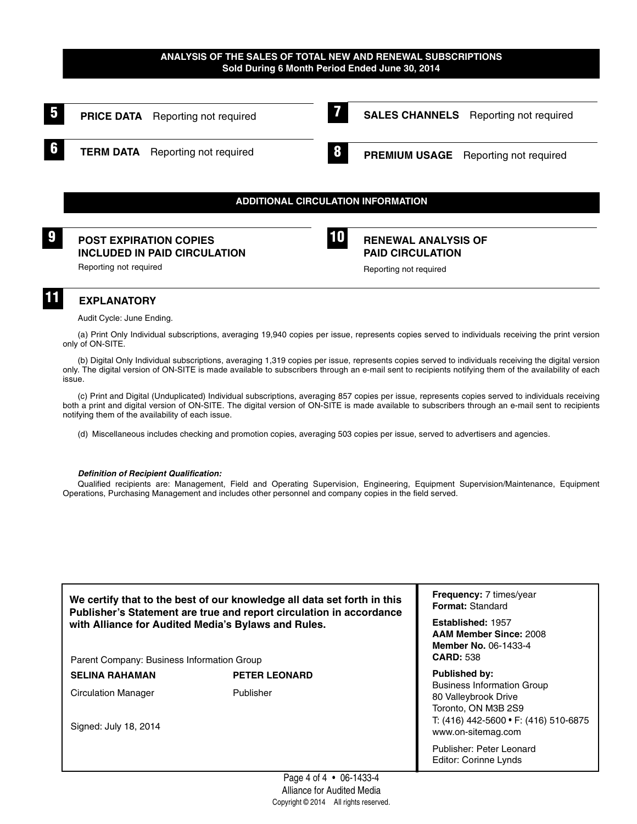#### **ANALYSIS OF THE SALES OF TOTAL NEW AND RENEWAL SUBSCRIPTIONS Sold During 6 Month Period Ended June 30, 2014**



# Audit Cycle: June Ending.

(a) Print Only Individual subscriptions, averaging 19,940 copies per issue, represents copies served to individuals receiving the print version only of ON-SITE.

(b) Digital Only Individual subscriptions, averaging 1,319 copies per issue, represents copies served to individuals receiving the digital version only. The digital version of ON-SITE is made available to subscribers through an e-mail sent to recipients notifying them of the availability of each issue.

(c) Print and Digital (Unduplicated) Individual subscriptions, averaging 857 copies per issue, represents copies served to individuals receiving both a print and digital version of ON-SITE. The digital version of ON-SITE is made available to subscribers through an e-mail sent to recipients notifying them of the availability of each issue.

(d) Miscellaneous includes checking and promotion copies, averaging 503 copies per issue, served to advertisers and agencies.

#### *Definition of Recipient Qualification:*

Qualified recipients are: Management, Field and Operating Supervision, Engineering, Equipment Supervision/Maintenance, Equipment Operations, Purchasing Management and includes other personnel and company copies in the field served.

**We certify that to the best of our knowledge all data set forth in this Publisher's Statement are true and report circulation in accordance with Alliance for Audited Media's Bylaws and Rules.**

Parent Company: Business Information Group

SELINA RAHAMAN PETER LEONARD

Circulation Manager Publisher

Signed: July 18, 2014

**Frequency:** 7 times/year **Format:** Standard

**Established:** 1957 **AAM Member Since:** 2008 **Member No.** 06-1433-4 **CARD:** 538

**Published by:** Business Information Group 80 Valleybrook Drive Toronto, ON M3B 2S9 T: (416) 442-5600 • F: (416) 510-6875 www.on-sitemag.com

Publisher: Peter Leonard Editor: Corinne Lynds